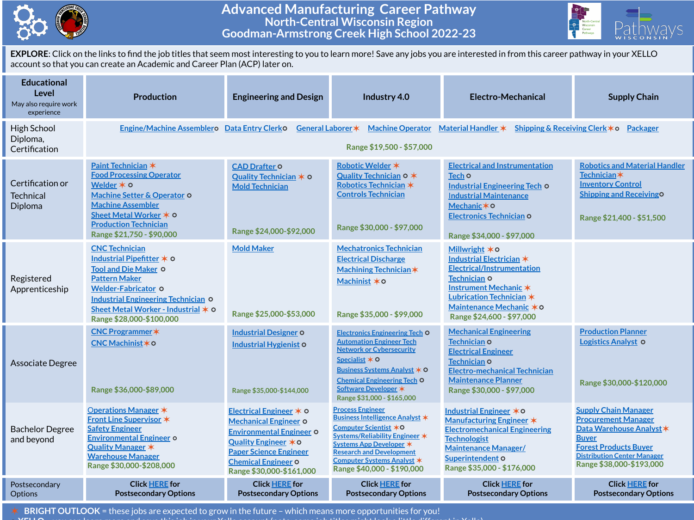

## **Advanced Manufacturing Career Pathway North-Central Wisconsin Region Goodman-Armstrong Creek High School 2022-23**



**EXPLORE**: Click on the links to find the job titles that seem most interesting to you to learn more! Save any jobs you are interested in from this career pathway in your XELLO account so that you can create an Academic and Career Plan (ACP) later on.

| <b>Educational</b><br>Level<br>May also require work<br>experience | <b>Production</b>                                                                                                                                                                                                                                         | <b>Engineering and Design</b>                                                                                                                                                                                 | Industry 4.0                                                                                                                                                                                                                                                      | Electro-Mechanical                                                                                                                                                                                               | <b>Supply Chain</b>                                                                                                                                                                                     |  |  |  |  |  |
|--------------------------------------------------------------------|-----------------------------------------------------------------------------------------------------------------------------------------------------------------------------------------------------------------------------------------------------------|---------------------------------------------------------------------------------------------------------------------------------------------------------------------------------------------------------------|-------------------------------------------------------------------------------------------------------------------------------------------------------------------------------------------------------------------------------------------------------------------|------------------------------------------------------------------------------------------------------------------------------------------------------------------------------------------------------------------|---------------------------------------------------------------------------------------------------------------------------------------------------------------------------------------------------------|--|--|--|--|--|
| High School<br>Diploma,<br>Certification                           | Engine/Machine Assemblero Data Entry Clerko<br>General Laborer *<br>Machine Operator Material Handler $*$<br>Shipping & Receiving Clerk $*$ o Packager<br>Range \$19,500 - \$57,000                                                                       |                                                                                                                                                                                                               |                                                                                                                                                                                                                                                                   |                                                                                                                                                                                                                  |                                                                                                                                                                                                         |  |  |  |  |  |
| Certification or<br>Technical<br>Diploma                           | Paint Technician *<br><b>Food Processing Operator</b><br>Welder $*$ $\circ$<br>Machine Setter & Operator O<br><b>Machine Assembler</b><br>Sheet Metal Worker ∗ O<br><b>Production Technician</b><br>Range \$21,750 - \$90,000                             | <b>CAD Drafter O</b><br>Quality Technician $*$ $\circ$<br><b>Mold Technician</b><br>Range \$24,000-\$92,000                                                                                                   | Robotic Welder *<br>Quality Technician 0 *<br>Robotics Technician *<br><b>Controls Technician</b><br>Range \$30,000 - \$97,000                                                                                                                                    | <b>Electrical and Instrumentation</b><br>Tech O<br><b>Industrial Engineering Tech O</b><br><b>Industrial Maintenance</b><br>Mechanic * 0<br>Electronics Technician O<br>Range \$34,000 - \$97,000                | <b>Robotics and Material Handler</b><br>Technician $\ast$<br><b>Inventory Control</b><br><b>Shipping and ReceivingO</b><br>Range \$21,400 - \$51,500                                                    |  |  |  |  |  |
| Registered<br>Apprenticeship                                       | <b>CNC Technician</b><br>Industrial Pipefitter $*$ $\circ$<br><b>Tool and Die Maker O</b><br><b>Pattern Maker</b><br><b>Welder-Fabricator O</b><br>Industrial Engineering Technician O<br>Sheet Metal Worker - Industrial * 0<br>Range \$28,000-\$100,000 | <b>Mold Maker</b><br>Range \$25,000-\$53,000                                                                                                                                                                  | <b>Mechatronics Technician</b><br><b>Electrical Discharge</b><br>Machining Technician *<br>Machinist * 0<br>Range \$35,000 - \$99,000                                                                                                                             | Millwright $*$ o<br>Industrial Electrician *<br><b>Electrical/Instrumentation</b><br>Technician O<br>Instrument Mechanic *<br>Lubrication Technician *<br>Maintenance Mechanic * 0<br>Range \$24,600 - \$97,000  |                                                                                                                                                                                                         |  |  |  |  |  |
| Associate Degree                                                   | <b>CNC Programmer</b> *<br>CNC Machinist * 0<br>Range \$36,000-\$89,000                                                                                                                                                                                   | <b>Industrial Designer O</b><br><b>Industrial Hygienist O</b><br>Range \$35,000-\$144,000                                                                                                                     | <b>Electronics Engineering Tech O</b><br><b>Automation Engineer Tech</b><br><b>Network or Cybersecurity</b><br>Specialist $*$ O<br>Business Systems Analyst $\star$ O<br><b>Chemical Engineering Tech O</b><br>Software Developer *<br>Range \$31,000 - \$165,000 | <b>Mechanical Engineering</b><br><b>Technician O</b><br><b>Electrical Engineer</b><br>Technician O<br><b>Electro-mechanical Technician</b><br><b>Maintenance Planner</b><br>Range \$30,000 - \$97,000            | <b>Production Planner</b><br><b>Logistics Analyst O</b><br>Range \$30,000-\$120,000                                                                                                                     |  |  |  |  |  |
| <b>Bachelor Degree</b><br>and beyond                               | Operations Manager *<br>Front Line Supervisor *<br><b>Safety Engineer</b><br><b>Environmental Engineer o</b><br>Quality Manager *<br><b>Warehouse Manager</b><br>Range \$30,000-\$208,000                                                                 | Electrical Engineer * 0<br><b>Mechanical Engineer O</b><br><b>Environmental Engineer O</b><br>Quality Engineer * 0<br><b>Paper Science Engineer</b><br><b>Chemical Engineer O</b><br>Range \$30,000-\$161,000 | <b>Process Engineer</b><br>Business Intelligence Analyst *<br>Computer Scientist *O<br>Systems/Reliability Engineer *<br>Systems App Developer *<br><b>Research and Development</b><br><b>Computer Systems Analyst *</b><br>Range \$40,000 - \$190,000            | <b>Industrial Engineer ∗O</b><br><b>Manufacturing Engineer *</b><br><b>Electromechanical Engineering</b><br><b>Technologist</b><br><b>Maintenance Manager/</b><br>Superintendent O<br>Range \$35,000 - \$176,000 | <b>Supply Chain Manager</b><br><b>Procurement Manager</b><br>Data Warehouse Analyst *<br><b>Buyer</b><br><b>Forest Products Buyer</b><br><b>Distribution Center Manager</b><br>Range \$38,000-\$193,000 |  |  |  |  |  |
| Postsecondary<br><b>Options</b>                                    | <b>Click HERE for</b><br><b>Postsecondary Options</b>                                                                                                                                                                                                     | <b>Click HERE for</b><br><b>Postsecondary Options</b>                                                                                                                                                         | <b>Click HERE for</b><br><b>Postsecondary Options</b>                                                                                                                                                                                                             | <b>Click HERE for</b><br><b>Postsecondary Options</b>                                                                                                                                                            | <b>Click HERE for</b><br><b>Postsecondary Options</b>                                                                                                                                                   |  |  |  |  |  |

✶ **BRIGHT OUTLOOK** = these jobs are expected to grow in the future – which means more opportunities for you!

⭘ **XELLO** = you can learn more and save this job in your Xello account (note: some job titles might look a little different in Xello)